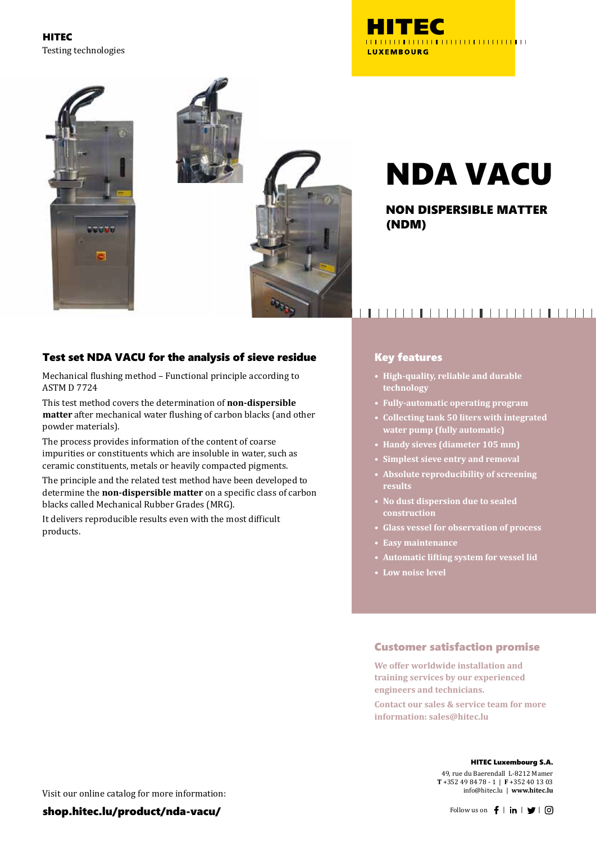HITEC Testing technologies





NON DISPERSIBLE MATTER (NDM)

## Test set NDA VACU for the analysis of sieve residue

Mechanical flushing method – Functional principle according to ASTM D 7724

This test method covers the determination of **non-dispersible matter** after mechanical water flushing of carbon blacks (and other powder materials).

The process provides information of the content of coarse impurities or constituents which are insoluble in water, such as ceramic constituents, metals or heavily compacted pigments.

The principle and the related test method have been developed to determine the **non-dispersible matter** on a specific class of carbon blacks called Mechanical Rubber Grades (MRG).

It delivers reproducible results even with the most difficult products.

## 

### Key features

- **• High-quality, reliable and durable technology**
- **• Fully-automatic operating program**
- **• Collecting tank 50 liters with integrated water pump (fully automatic)**
- **• Handy sieves (diameter 105 mm)**
- **• Simplest sieve entry and removal**
- **• Absolute reproducibility of screening results**
- **• No dust dispersion due to sealed construction**
- **• Glass vessel for observation of process**
- **• Easy maintenance**
- **• Automatic lifting system for vessel lid**
- **• Low noise level**

## Customer satisfaction promise

**We offer worldwide installation and training services by our experienced engineers and technicians.**

**Contact our sales & service team for more information: sales@hitec.lu**

#### HITEC Luxembourg S.A.

49, rue du Baerendall L-8212 Mamer **T** +352 49 84 78 - 1 | **F** +352 40 13 03 info@hitec.lu | **www.hitec.lu**

Visit our online catalog for more information: